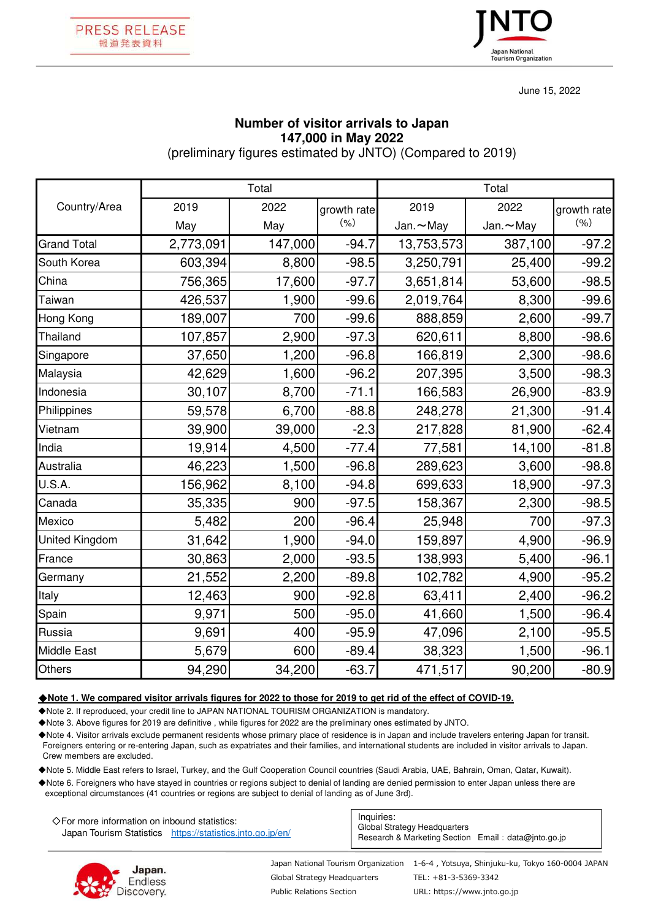



June 15, 2022

## **Number of visitor arrivals to Japan 147,000 in May 2022**

(preliminary figures estimated by JNTO) (Compared to 2019)

|                       | Total     |         |             | Total           |          |             |
|-----------------------|-----------|---------|-------------|-----------------|----------|-------------|
| Country/Area          | 2019      | 2022    | growth rate | 2019            | 2022     | growth rate |
|                       | May       | May     | (% )        | Jan. $\sim$ May | Jan.~May | (9/6)       |
| <b>Grand Total</b>    | 2,773,091 | 147,000 | $-94.7$     | 13,753,573      | 387,100  | $-97.2$     |
| South Korea           | 603,394   | 8,800   | $-98.5$     | 3,250,791       | 25,400   | $-99.2$     |
| China                 | 756,365   | 17,600  | $-97.7$     | 3,651,814       | 53,600   | $-98.5$     |
| Taiwan                | 426,537   | 1,900   | $-99.6$     | 2,019,764       | 8,300    | $-99.6$     |
| Hong Kong             | 189,007   | 700     | $-99.6$     | 888,859         | 2,600    | $-99.7$     |
| Thailand              | 107,857   | 2,900   | $-97.3$     | 620,611         | 8,800    | $-98.6$     |
| Singapore             | 37,650    | 1,200   | $-96.8$     | 166,819         | 2,300    | $-98.6$     |
| Malaysia              | 42,629    | 1,600   | $-96.2$     | 207,395         | 3,500    | $-98.3$     |
| Indonesia             | 30,107    | 8,700   | $-71.1$     | 166,583         | 26,900   | $-83.9$     |
| Philippines           | 59,578    | 6,700   | $-88.8$     | 248,278         | 21,300   | $-91.4$     |
| Vietnam               | 39,900    | 39,000  | $-2.3$      | 217,828         | 81,900   | $-62.4$     |
| India                 | 19,914    | 4,500   | $-77.4$     | 77,581          | 14,100   | $-81.8$     |
| Australia             | 46,223    | 1,500   | $-96.8$     | 289,623         | 3,600    | $-98.8$     |
| U.S.A.                | 156,962   | 8,100   | $-94.8$     | 699,633         | 18,900   | $-97.3$     |
| Canada                | 35,335    | 900     | $-97.5$     | 158,367         | 2,300    | $-98.5$     |
| Mexico                | 5,482     | 200     | $-96.4$     | 25,948          | 700      | $-97.3$     |
| <b>United Kingdom</b> | 31,642    | 1,900   | $-94.0$     | 159,897         | 4,900    | $-96.9$     |
| France                | 30,863    | 2,000   | $-93.5$     | 138,993         | 5,400    | $-96.1$     |
| Germany               | 21,552    | 2,200   | $-89.8$     | 102,782         | 4,900    | $-95.2$     |
| Italy                 | 12,463    | 900     | $-92.8$     | 63,411          | 2,400    | $-96.2$     |
| Spain                 | 9,971     | 500     | $-95.0$     | 41,660          | 1,500    | $-96.4$     |
| Russia                | 9,691     | 400     | $-95.9$     | 47,096          | 2,100    | $-95.5$     |
| <b>Middle East</b>    | 5,679     | 600     | $-89.4$     | 38,323          | 1,500    | $-96.1$     |
| Others                | 94,290    | 34,200  | $-63.7$     | 471,517         | 90,200   | $-80.9$     |

## ◆**Note 1. We compared visitor arrivals figures for 2022 to those for 2019 to get rid of the effect of COVID-19.**

◆Note 2. If reproduced, your credit line to JAPAN NATIONAL TOURISM ORGANIZATION is mandatory.

◆Note 3. Above figures for 2019 are definitive , while figures for 2022 are the preliminary ones estimated by JNTO.

◆Note 4. Visitor arrivals exclude permanent residents whose primary place of residence is in Japan and include travelers entering Japan for transit. Foreigners entering or re-entering Japan, such as expatriates and their families, and international students are included in visitor arrivals to Japan. Crew members are excluded.

◆Note 5. Middle East refers to Israel, Turkey, and the Gulf Cooperation Council countries (Saudi Arabia, UAE, Bahrain, Oman, Qatar, Kuwait).

◆Note 6. Foreigners who have stayed in countries or regions subject to denial of landing are denied permission to enter Japan unless there are exceptional circumstances (41 countries or regions are subject to denial of landing as of June 3rd).

| $\Diamond$ For more information on inbound statistics:     |  | Inquiries:                                                                          |  |
|------------------------------------------------------------|--|-------------------------------------------------------------------------------------|--|
| Japan Tourism Statistics https://statistics.jnto.go.jp/en/ |  | Global Strategy Headquarters<br>Research & Marketing Section Email: data@into.go.jp |  |



Global Strategy Headquarters Public Relations Section

Japan National Tourism Organization 1-6-4 , Yotsuya, Shinjuku-ku, Tokyo 160-0004 JAPAN TEL: +81-3-5369-3342

URL: https://www.jnto.go.jp